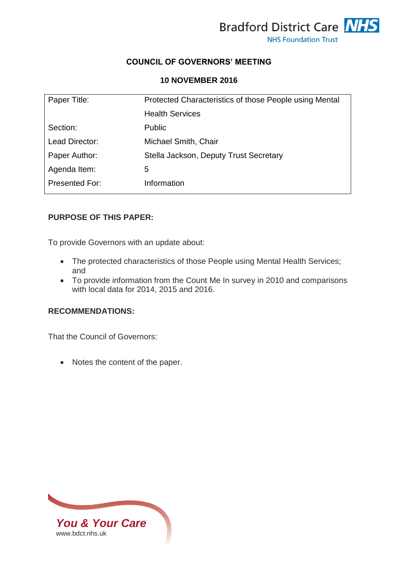

### **COUNCIL OF GOVERNORS' MEETING**

#### **10 NOVEMBER 2016**

| Paper Title:          | Protected Characteristics of those People using Mental |  |  |
|-----------------------|--------------------------------------------------------|--|--|
|                       | <b>Health Services</b>                                 |  |  |
| Section:              | <b>Public</b>                                          |  |  |
| Lead Director:        | Michael Smith, Chair                                   |  |  |
| Paper Author:         | Stella Jackson, Deputy Trust Secretary                 |  |  |
| Agenda Item:          | 5                                                      |  |  |
| <b>Presented For:</b> | Information                                            |  |  |

### **PURPOSE OF THIS PAPER:**

To provide Governors with an update about:

- The protected characteristics of those People using Mental Health Services; and
- To provide information from the Count Me In survey in 2010 and comparisons with local data for 2014, 2015 and 2016.

## **RECOMMENDATIONS:**

That the Council of Governors:

• Notes the content of the paper.

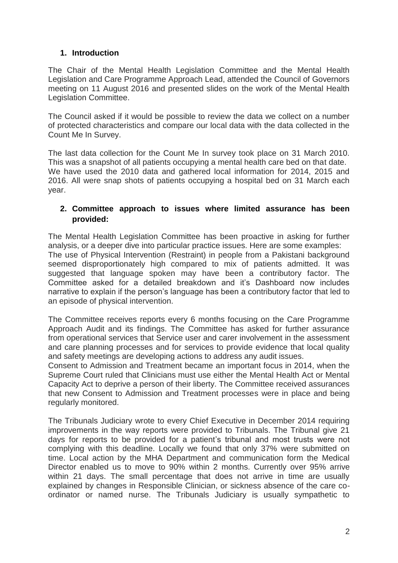# **1. Introduction**

The Chair of the Mental Health Legislation Committee and the Mental Health Legislation and Care Programme Approach Lead, attended the Council of Governors meeting on 11 August 2016 and presented slides on the work of the Mental Health Legislation Committee.

The Council asked if it would be possible to review the data we collect on a number of protected characteristics and compare our local data with the data collected in the Count Me In Survey.

The last data collection for the Count Me In survey took place on 31 March 2010. This was a snapshot of all patients occupying a mental health care bed on that date. We have used the 2010 data and gathered local information for 2014, 2015 and 2016. All were snap shots of patients occupying a hospital bed on 31 March each year.

### **2. Committee approach to issues where limited assurance has been provided:**

The Mental Health Legislation Committee has been proactive in asking for further analysis, or a deeper dive into particular practice issues. Here are some examples: The use of Physical Intervention (Restraint) in people from a Pakistani background seemed disproportionately high compared to mix of patients admitted. It was suggested that language spoken may have been a contributory factor. The Committee asked for a detailed breakdown and it's Dashboard now includes narrative to explain if the person's language has been a contributory factor that led to an episode of physical intervention.

The Committee receives reports every 6 months focusing on the Care Programme Approach Audit and its findings. The Committee has asked for further assurance from operational services that Service user and carer involvement in the assessment and care planning processes and for services to provide evidence that local quality and safety meetings are developing actions to address any audit issues.

Consent to Admission and Treatment became an important focus in 2014, when the Supreme Court ruled that Clinicians must use either the Mental Health Act or Mental Capacity Act to deprive a person of their liberty. The Committee received assurances that new Consent to Admission and Treatment processes were in place and being regularly monitored.

The Tribunals Judiciary wrote to every Chief Executive in December 2014 requiring improvements in the way reports were provided to Tribunals. The Tribunal give 21 days for reports to be provided for a patient's tribunal and most trusts were not complying with this deadline. Locally we found that only 37% were submitted on time. Local action by the MHA Department and communication form the Medical Director enabled us to move to 90% within 2 months. Currently over 95% arrive within 21 days. The small percentage that does not arrive in time are usually explained by changes in Responsible Clinician, or sickness absence of the care coordinator or named nurse. The Tribunals Judiciary is usually sympathetic to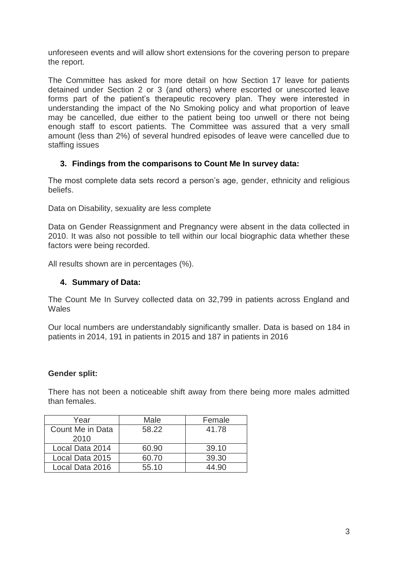unforeseen events and will allow short extensions for the covering person to prepare the report.

The Committee has asked for more detail on how Section 17 leave for patients detained under Section 2 or 3 (and others) where escorted or unescorted leave forms part of the patient's therapeutic recovery plan. They were interested in understanding the impact of the No Smoking policy and what proportion of leave may be cancelled, due either to the patient being too unwell or there not being enough staff to escort patients. The Committee was assured that a very small amount (less than 2%) of several hundred episodes of leave were cancelled due to staffing issues

## **3. Findings from the comparisons to Count Me In survey data:**

The most complete data sets record a person's age, gender, ethnicity and religious beliefs.

Data on Disability, sexuality are less complete

Data on Gender Reassignment and Pregnancy were absent in the data collected in 2010. It was also not possible to tell within our local biographic data whether these factors were being recorded.

All results shown are in percentages (%).

### **4. Summary of Data:**

The Count Me In Survey collected data on 32,799 in patients across England and **Wales** 

Our local numbers are understandably significantly smaller. Data is based on 184 in patients in 2014, 191 in patients in 2015 and 187 in patients in 2016

#### **Gender split:**

There has not been a noticeable shift away from there being more males admitted than females.

| Year             | Male  | Female |
|------------------|-------|--------|
| Count Me in Data | 58.22 | 41.78  |
| 2010             |       |        |
| Local Data 2014  | 60.90 | 39.10  |
| Local Data 2015  | 60.70 | 39.30  |
| Local Data 2016  | 55.10 | 44.90  |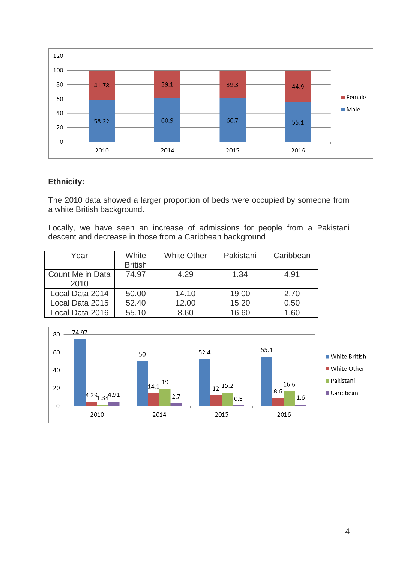

### **Ethnicity:**

The 2010 data showed a larger proportion of beds were occupied by someone from a white British background.

Locally, we have seen an increase of admissions for people from a Pakistani descent and decrease in those from a Caribbean background

| Year                     | White<br><b>British</b> | <b>White Other</b> | Pakistani | Caribbean |
|--------------------------|-------------------------|--------------------|-----------|-----------|
| Count Me in Data<br>2010 | 74.97                   | 4.29               | 1.34      | 4.91      |
| Local Data 2014          | 50.00                   | 14.10              | 19.00     | 2.70      |
| Local Data 2015          | 52.40                   | 12.00              | 15.20     | 0.50      |
| Local Data 2016          | 55.10                   | 8.60               | 16.60     | 1.60      |

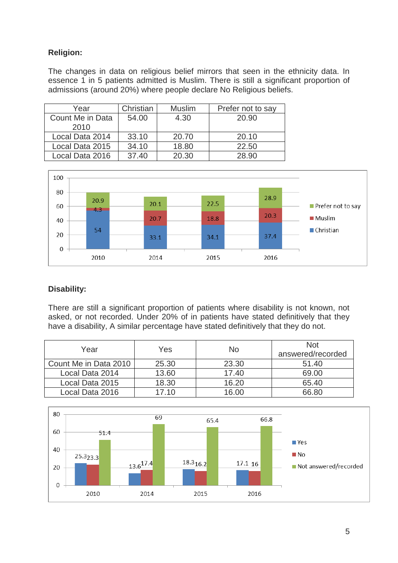# **Religion:**

The changes in data on religious belief mirrors that seen in the ethnicity data. In essence 1 in 5 patients admitted is Muslim. There is still a significant proportion of admissions (around 20%) where people declare No Religious beliefs.

| Year             | Christian | <b>Muslim</b> | Prefer not to say |
|------------------|-----------|---------------|-------------------|
| Count Me in Data | 54.00     | 4.30          | 20.90             |
| 2010             |           |               |                   |
| Local Data 2014  | 33.10     | 20.70         | 20.10             |
| Local Data 2015  | 34.10     | 18.80         | 22.50             |
| Local Data 2016  | 37.40     | 20.30         | 28.90             |



## **Disability:**

There are still a significant proportion of patients where disability is not known, not asked, or not recorded. Under 20% of in patients have stated definitively that they have a disability, A similar percentage have stated definitively that they do not.

| Year                  | Yes   | No.   | <b>Not</b><br>answered/recorded |
|-----------------------|-------|-------|---------------------------------|
| Count Me in Data 2010 | 25.30 | 23.30 | 51.40                           |
| Local Data 2014       | 13.60 | 17.40 | 69.00                           |
| Local Data 2015       | 18.30 | 16.20 | 65.40                           |
| Local Data 2016       | 17 10 | 16.00 | 66.80                           |